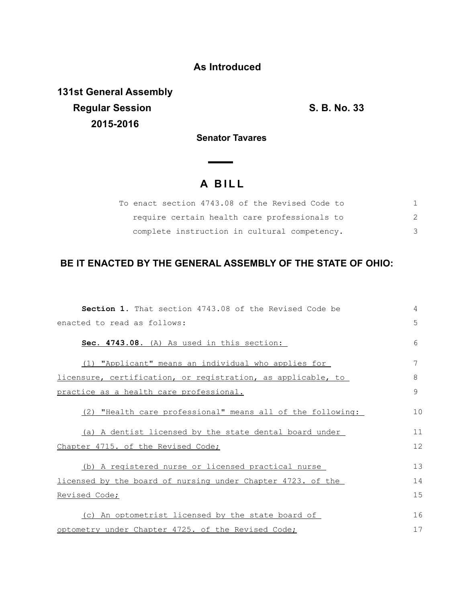## **As Introduced**

**131st General Assembly Regular Session S. B. No. 33 2015-2016**

**Senator Tavares** 

## **A B I L L**

 $\overline{\phantom{a}}$ 

|  | To enact section 4743.08 of the Revised Code to |  |  |  |
|--|-------------------------------------------------|--|--|--|
|  | require certain health care professionals to    |  |  |  |
|  | complete instruction in cultural competency.    |  |  |  |

## **BE IT ENACTED BY THE GENERAL ASSEMBLY OF THE STATE OF OHIO:**

| <b>Section 1.</b> That section 4743.08 of the Revised Code be | 4            |
|---------------------------------------------------------------|--------------|
| enacted to read as follows:                                   | 5            |
| Sec. 4743.08. (A) As used in this section:                    | 6            |
| (1) "Applicant" means an individual who applies for           | 7            |
| licensure, certification, or registration, as applicable, to  | 8            |
| practice as a health care professional.                       | $\mathsf{Q}$ |
| (2) "Health care professional" means all of the following:    | 10           |
| (a) A dentist licensed by the state dental board under        | 11           |
| Chapter 4715. of the Revised Code;                            | 12           |
| (b) A registered nurse or licensed practical nurse            | 13           |
| licensed by the board of nursing under Chapter 4723. of the   | 14           |
| Revised Code;                                                 | 15           |
| (c) An optometrist licensed by the state board of             | 16           |
| optometry under Chapter 4725. of the Revised Code;            | 17           |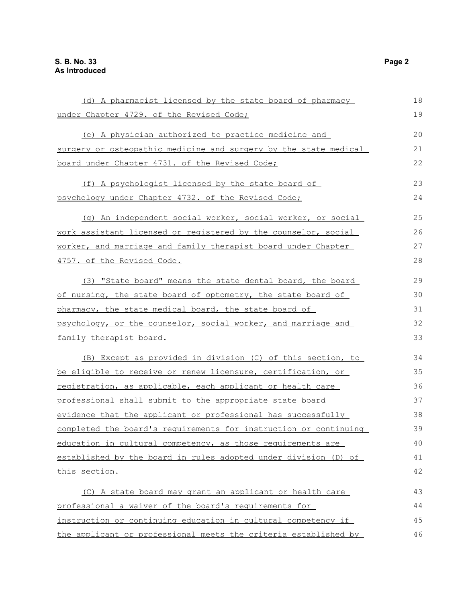| (d) A pharmacist licensed by the state board of pharmacy         | 18 |
|------------------------------------------------------------------|----|
| under Chapter 4729. of the Revised Code;                         | 19 |
| (e) A physician authorized to practice medicine and              | 20 |
| surgery or osteopathic medicine and surgery by the state medical | 21 |
| board under Chapter 4731. of the Revised Code;                   | 22 |
| (f) A psychologist licensed by the state board of                | 23 |
| psychology under Chapter 4732. of the Revised Code;              | 24 |
| (g) An independent social worker, social worker, or social       | 25 |
| work assistant licensed or registered by the counselor, social   | 26 |
| worker, and marriage and family therapist board under Chapter    | 27 |
| 4757. of the Revised Code.                                       | 28 |
| (3) "State board" means the state dental board, the board        | 29 |
| of nursing, the state board of optometry, the state board of     | 30 |
| pharmacy, the state medical board, the state board of            | 31 |
| psychology, or the counselor, social worker, and marriage and    | 32 |
| <u>family therapist board.</u>                                   | 33 |
| (B) Except as provided in division (C) of this section, to       | 34 |
| be eligible to receive or renew licensure, certification, or     | 35 |
| registration, as applicable, each applicant or health care       | 36 |
| professional shall submit to the appropriate state board         | 37 |
| evidence that the applicant or professional has successfully     | 38 |
| completed the board's requirements for instruction or continuing | 39 |
| education in cultural competency, as those requirements are      | 40 |
| established by the board in rules adopted under division (D) of  | 41 |
| this section.                                                    | 42 |
| (C) A state board may grant an applicant or health care          | 43 |
| professional a waiver of the board's requirements for            | 44 |
| instruction or continuing education in cultural competency if    | 45 |
| the applicant or professional meets the criteria established by  | 46 |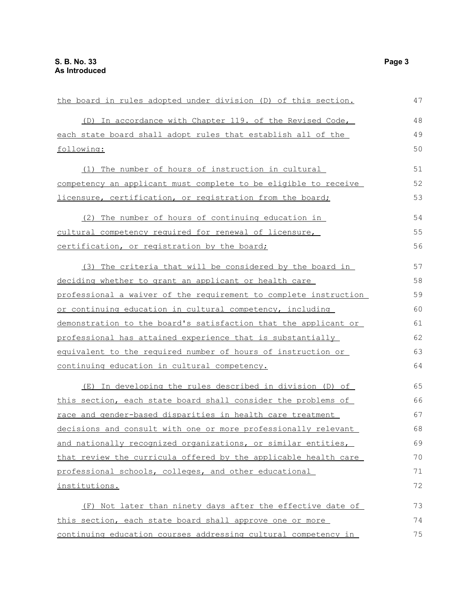| the board in rules adopted under division (D) of this section.   | 47 |
|------------------------------------------------------------------|----|
| (D) In accordance with Chapter 119. of the Revised Code,         | 48 |
| each state board shall adopt rules that establish all of the     | 49 |
| following:                                                       | 50 |
| (1) The number of hours of instruction in cultural               | 51 |
| competency an applicant must complete to be eligible to receive  | 52 |
| licensure, certification, or registration from the board;        | 53 |
| (2) The number of hours of continuing education in               | 54 |
| cultural competency required for renewal of licensure,           | 55 |
| certification, or registration by the board;                     | 56 |
| (3) The criteria that will be considered by the board in         | 57 |
| deciding whether to grant an applicant or health care            | 58 |
| professional a waiver of the requirement to complete instruction | 59 |
| or continuing education in cultural competency, including        | 60 |
| demonstration to the board's satisfaction that the applicant or  | 61 |
| professional has attained experience that is substantially       | 62 |
| equivalent to the required number of hours of instruction or     | 63 |
| continuing education in cultural competency.                     | 64 |
| (E) In developing the rules described in division (D) of         | 65 |
| this section, each state board shall consider the problems of    | 66 |
| race and gender-based disparities in health care treatment       | 67 |
| decisions and consult with one or more professionally relevant   | 68 |
| and nationally recognized organizations, or similar entities,    | 69 |
| that review the curricula offered by the applicable health care  | 70 |
| professional schools, colleges, and other educational            | 71 |
| institutions.                                                    | 72 |
| (F) Not later than ninety days after the effective date of       | 73 |
| this section, each state board shall approve one or more         | 74 |
| continuing education courses addressing cultural competency in   | 75 |